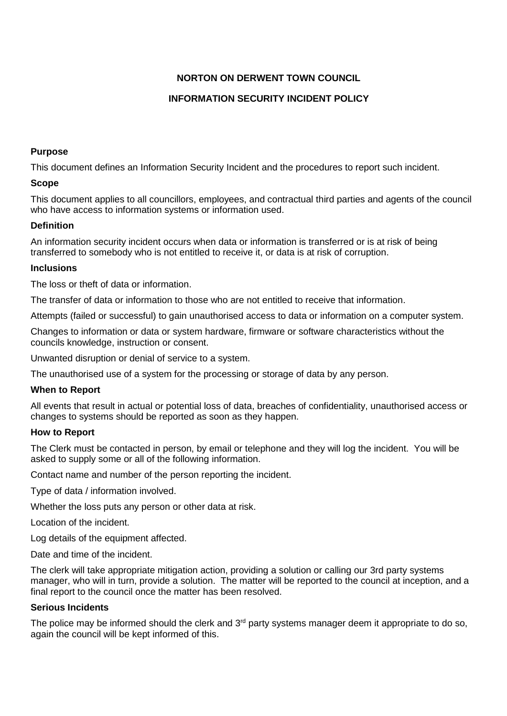# **NORTON ON DERWENT TOWN COUNCIL**

# **INFORMATION SECURITY INCIDENT POLICY**

### **Purpose**

This document defines an Information Security Incident and the procedures to report such incident.

## **Scope**

This document applies to all councillors, employees, and contractual third parties and agents of the council who have access to information systems or information used.

# **Definition**

An information security incident occurs when data or information is transferred or is at risk of being transferred to somebody who is not entitled to receive it, or data is at risk of corruption.

## **Inclusions**

The loss or theft of data or information.

The transfer of data or information to those who are not entitled to receive that information.

Attempts (failed or successful) to gain unauthorised access to data or information on a computer system.

Changes to information or data or system hardware, firmware or software characteristics without the councils knowledge, instruction or consent.

Unwanted disruption or denial of service to a system.

The unauthorised use of a system for the processing or storage of data by any person.

### **When to Report**

All events that result in actual or potential loss of data, breaches of confidentiality, unauthorised access or changes to systems should be reported as soon as they happen.

### **How to Report**

The Clerk must be contacted in person, by email or telephone and they will log the incident. You will be asked to supply some or all of the following information.

Contact name and number of the person reporting the incident.

Type of data / information involved.

Whether the loss puts any person or other data at risk.

Location of the incident.

Log details of the equipment affected.

Date and time of the incident.

The clerk will take appropriate mitigation action, providing a solution or calling our 3rd party systems manager, who will in turn, provide a solution. The matter will be reported to the council at inception, and a final report to the council once the matter has been resolved.

### **Serious Incidents**

The police may be informed should the clerk and 3<sup>rd</sup> party systems manager deem it appropriate to do so, again the council will be kept informed of this.